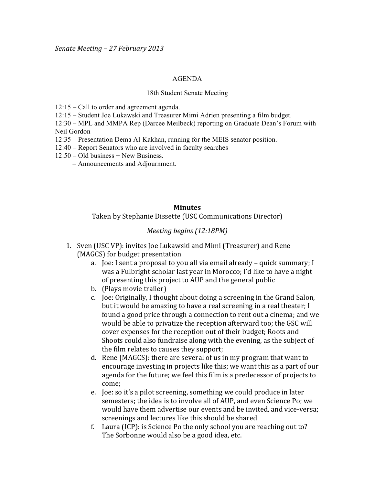## AGENDA

## 18th Student Senate Meeting

12:15 – Call to order and agreement agenda.

12:15 – Student Joe Lukawski and Treasurer Mimi Adrien presenting a film budget.

12:30 – MPL and MMPA Rep (Darcee Meilbeck) reporting on Graduate Dean's Forum with Neil Gordon

- 12:35 Presentation Dema Al-Kakhan, running for the MEIS senator position.
- 12:40 Report Senators who are involved in faculty searches
- $12:50 Old business + New Business.$ 
	- Announcements and Adjournment.

## **Minutes**

Taken by Stephanie Dissette (USC Communications Director)

## *Meeting begins (12:18PM)*

- 1. Sven (USC VP): invites Joe Lukawski and Mimi (Treasurer) and Rene (MAGCS) for budget presentation
	- a. Joe: I sent a proposal to you all via email already quick summary; I was a Fulbright scholar last year in Morocco; I'd like to have a night of presenting this project to AUP and the general public
	- b. (Plays movie trailer)
	- c. Joe: Originally, I thought about doing a screening in the Grand Salon, but it would be amazing to have a real screening in a real theater; I found a good price through a connection to rent out a cinema; and we would be able to privatize the reception afterward too; the GSC will cover expenses for the reception out of their budget; Roots and Shoots could also fundraise along with the evening, as the subject of the film relates to causes they support;
	- d. Rene (MAGCS): there are several of us in my program that want to encourage investing in projects like this; we want this as a part of our agenda for the future; we feel this film is a predecessor of projects to come;
	- e. Joe: so it's a pilot screening, something we could produce in later semesters; the idea is to involve all of AUP, and even Science Po; we would have them advertise our events and be invited, and vice-versa; screenings and lectures like this should be shared
	- f. Laura (ICP): is Science Po the only school you are reaching out to? The Sorbonne would also be a good idea, etc.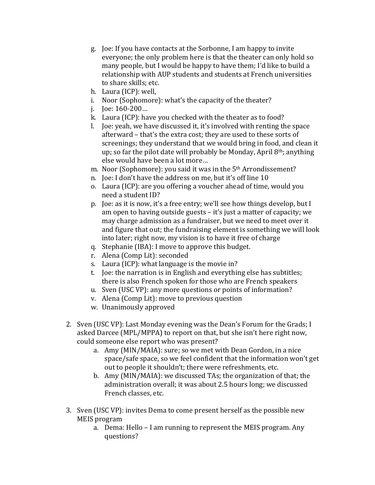- g. Joe: If you have contacts at the Sorbonne, I am happy to invite everyone; the only problem here is that the theater can only hold so many people, but I would be happy to have them; I'd like to build a relationship with AUP students and students at French universities to share skills; etc.
- h. Laura (ICP): well,
- i. Noor (Sophomore): what's the capacity of the theater?
- i. Joe:  $160 200...$
- k. Laura (ICP): have you checked with the theater as to food?
- l. Joe: yeah, we have discussed it, it's involved with renting the space afterward – that's the extra cost; they are used to these sorts of screenings; they understand that we would bring in food, and clean it up; so far the pilot date will probably be Monday, April  $8<sup>th</sup>$ ; anything else would have been a lot more...
- m. Noor (Sophomore): you said it was in the 5<sup>th</sup> Arrondissement?
- n. Joe: I don't have the address on me, but it's off line 10
- o. Laura (ICP): are you offering a voucher ahead of time, would you need a student ID?
- p. Joe: as it is now, it's a free entry; we'll see how things develop, but I am open to having outside guests – it's just a matter of capacity; we may charge admission as a fundraiser, but we need to meet over it and figure that out; the fundraising element is something we will look into later; right now, my vision is to have it free of charge
- q. Stephanie (IBA): I move to approve this budget.
- r. Alena (Comp Lit): seconded
- s. Laura (ICP): what language is the movie in?
- t. Joe: the narration is in English and everything else has subtitles; there is also French spoken for those who are French speakers
- u. Sven (USC VP): any more questions or points of information?
- v. Alena (Comp Lit): move to previous question
- w. Unanimously approved
- 2. Sven (USC VP): Last Monday evening was the Dean's Forum for the Grads; I asked Darcee (MPL/MPPA) to report on that, but she isn't here right now, could someone else report who was present?
	- a. Amy (MIN/MAIA): sure; so we met with Dean Gordon, in a nice space/safe space, so we feel confident that the information won't get out to people it shouldn't; there were refreshments, etc.
	- b. Amy (MIN/MAIA): we discussed TAs; the organization of that; the administration overall; it was about 2.5 hours long; we discussed French classes, etc.
- 3. Sven (USC VP): invites Dema to come present herself as the possible new MEIS program
	- a. Dema: Hello I am running to represent the MEIS program. Any questions?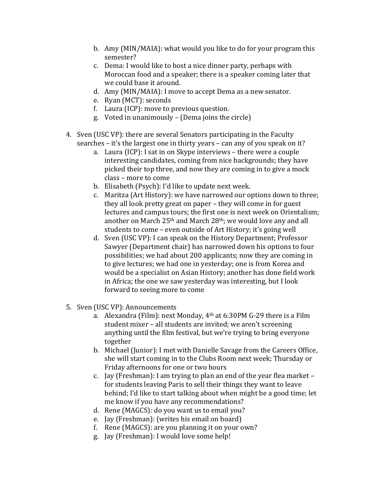- b. Amy (MIN/MAIA): what would you like to do for your program this semester?
- c. Dema: I would like to host a nice dinner party, perhaps with Moroccan food and a speaker; there is a speaker coming later that we could base it around.
- d. Amy (MIN/MAIA): I move to accept Dema as a new senator.
- e. Ryan (MCT): seconds
- f. Laura (ICP): move to previous question.
- g. Voted in unanimously (Dema joins the circle)
- 4. Sven (USC VP): there are several Senators participating in the Faculty searches – it's the largest one in thirty years – can any of you speak on it?
	- a. Laura (ICP): I sat in on Skype interviews there were a couple interesting candidates, coming from nice backgrounds; they have picked their top three, and now they are coming in to give a mock class – more to come
	- b. Elisabeth (Psych): I'd like to update next week.
	- c. Maritza (Art History): we have narrowed our options down to three; they all look pretty great on paper – they will come in for guest lectures and campus tours; the first one is next week on Orientalism; another on March 25<sup>th</sup> and March 28<sup>th</sup>; we would love any and all students to come – even outside of Art History; it's going well
	- d. Sven (USC VP): I can speak on the History Department; Professor Sawyer (Department chair) has narrowed down his options to four possibilities; we had about 200 applicants; now they are coming in to give lectures; we had one in yesterday; one is from Korea and would be a specialist on Asian History; another has done field work in Africa; the one we saw yesterday was interesting, but I look forward to seeing more to come
- 5. Sven (USC VP): Announcements
	- a. Alexandra (Film): next Monday,  $4<sup>th</sup>$  at 6:30PM G-29 there is a Film student mixer – all students are invited; we aren't screening anything until the film festival, but we're trying to bring everyone together
	- b. Michael (Junior): I met with Danielle Savage from the Careers Office, she will start coming in to the Clubs Room next week; Thursday or Friday afternoons for one or two hours
	- c. Jay (Freshman): I am trying to plan an end of the year flea market for students leaving Paris to sell their things they want to leave behind; I'd like to start talking about when might be a good time; let me know if you have any recommendations?
	- d. Rene (MAGCS): do you want us to email you?
	- e. Jay (Freshman): (writes his email on board)
	- f. Rene ( $MAGCS$ ): are you planning it on your own?
	- g. Jay (Freshman): I would love some help!